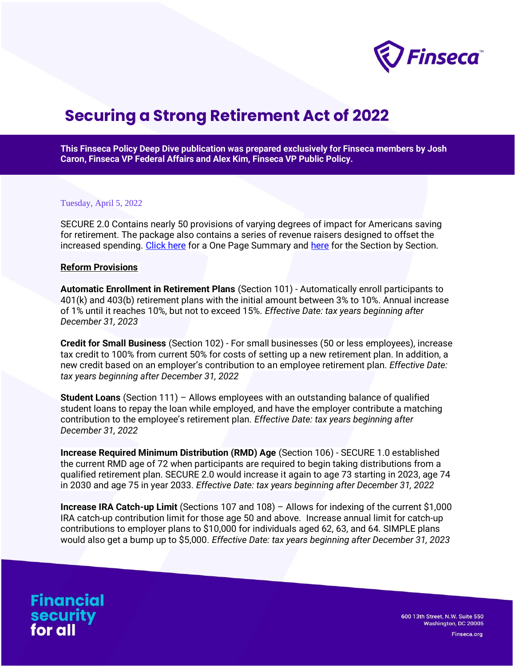

# **Securing a Strong Retirement Act of 2022**

**This Finseca Policy Deep Dive publication was prepared exclusively for Finseca members by Josh Caron, Finseca VP Federal Affairs and Alex Kim, Finseca VP Public Policy.**

#### Tuesday, April 5, 2022

SECURE 2.0 Contains nearly 50 provisions of varying degrees of impact for Americans saving for retirement. The package also contains a series of revenue raisers designed to offset the increased spending. [Click here](https://waysandmeans.house.gov/sites/democrats.waysandmeans.house.gov/files/documents/SECURE%202.0_One%20Pager.pdf) for a One Page Summary and [here](https://waysandmeans.house.gov/sites/democrats.waysandmeans.house.gov/files/documents/SECURE2.0_SxS_032822.pdf) for the Section by Section.

#### **Reform Provisions**

**Automatic Enrollment in Retirement Plans** (Section 101) - Automatically enroll participants to 401(k) and 403(b) retirement plans with the initial amount between 3% to 10%. Annual increase of 1% until it reaches 10%, but not to exceed 15%. *Effective Date: tax years beginning after December 31, 2023*

**Credit for Small Business** (Section 102) - For small businesses (50 or less employees), increase tax credit to 100% from current 50% for costs of setting up a new retirement plan. In addition, a new credit based on an employer's contribution to an employee retirement plan. *Effective Date: tax years beginning after December 31, 2022*

**Student Loans** (Section 111) – Allows employees with an outstanding balance of qualified student loans to repay the loan while employed, and have the employer contribute a matching contribution to the employee's retirement plan. *Effective Date: tax years beginning after December 31, 2022*

**Increase Required Minimum Distribution (RMD) Age** (Section 106) - SECURE 1.0 established the current RMD age of 72 when participants are required to begin taking distributions from a qualified retirement plan. SECURE 2.0 would increase it again to age 73 starting in 2023, age 74 in 2030 and age 75 in year 2033. *Effective Date: tax years beginning after December 31, 2022*

**Increase IRA Catch-up Limit** (Sections 107 and 108) – Allows for indexing of the current \$1,000 IRA catch-up contribution limit for those age 50 and above. Increase annual limit for catch-up contributions to employer plans to \$10,000 for individuals aged 62, 63, and 64. SIMPLE plans would also get a bump up to \$5,000. *Effective Date: tax years beginning after December 31, 2023*

**Financial** security<br>for all

600 13th Street, N.W. Suite 550 Washington, DC 20005

Finseca.org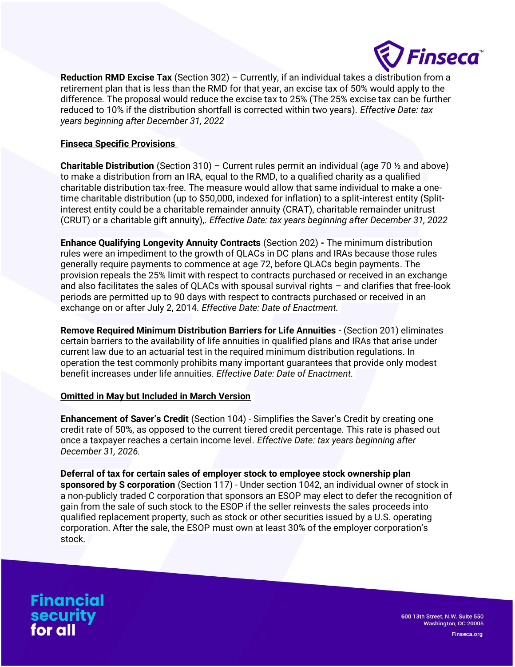

**Reduction RMD Excise Tax** (Section 302) – Currently, if an individual takes a distribution from a retirement plan that is less than the RMD for that year, an excise tax of 50% would apply to the difference. The proposal would reduce the excise tax to 25% (The 25% excise tax can be further reduced to 10% if the distribution shortfall is corrected within two years). *Effective Date: tax years beginning after December 31, 2022*

## **Finseca Specific Provisions**

**Charitable Distribution** (Section 310) – Current rules permit an individual (age 70 ½ and above) to make a distribution from an IRA, equal to the RMD, to a qualified charity as a qualified charitable distribution tax-free. The measure would allow that same individual to make a onetime charitable distribution (up to \$50,000, indexed for inflation) to a split-interest entity (Splitinterest entity could be a charitable remainder annuity (CRAT), charitable remainder unitrust (CRUT) or a charitable gift annuity),. *Effective Date: tax years beginning after December 31, 2022*

**Enhance Qualifying Longevity Annuity Contracts** (Section 202) **-** The minimum distribution rules were an impediment to the growth of QLACs in DC plans and IRAs because those rules generally require payments to commence at age 72, before QLACs begin payments. The provision repeals the 25% limit with respect to contracts purchased or received in an exchange and also facilitates the sales of QLACs with spousal survival rights – and clarifies that free-look periods are permitted up to 90 days with respect to contracts purchased or received in an exchange on or after July 2, 2014. *Effective Date: Date of Enactment.*

**Remove Required Minimum Distribution Barriers for Life Annuities** - (Section 201) eliminates certain barriers to the availability of life annuities in qualified plans and IRAs that arise under current law due to an actuarial test in the required minimum distribution regulations. In operation the test commonly prohibits many important guarantees that provide only modest benefit increases under life annuities. *Effective Date: Date of Enactment.*

## **Omitted in May but Included in March Version**

**Enhancement of Saver's Credit** (Section 104) - Simplifies the Saver's Credit by creating one credit rate of 50%, as opposed to the current tiered credit percentage. This rate is phased out once a taxpayer reaches a certain income level. *Effective Date: tax years beginning after December 31, 2026.*

**Deferral of tax for certain sales of employer stock to employee stock ownership plan sponsored by S corporation** (Section 117) - Under section 1042, an individual owner of stock in a non-publicly traded C corporation that sponsors an ESOP may elect to defer the recognition of gain from the sale of such stock to the ESOP if the seller reinvests the sales proceeds into qualified replacement property, such as stock or other securities issued by a U.S. operating corporation. After the sale, the ESOP must own at least 30% of the employer corporation's stock.

**Financial** security<br>for all

600 13th Street, N.W. Suite 550 Washington, DC 20005

Finseca.org